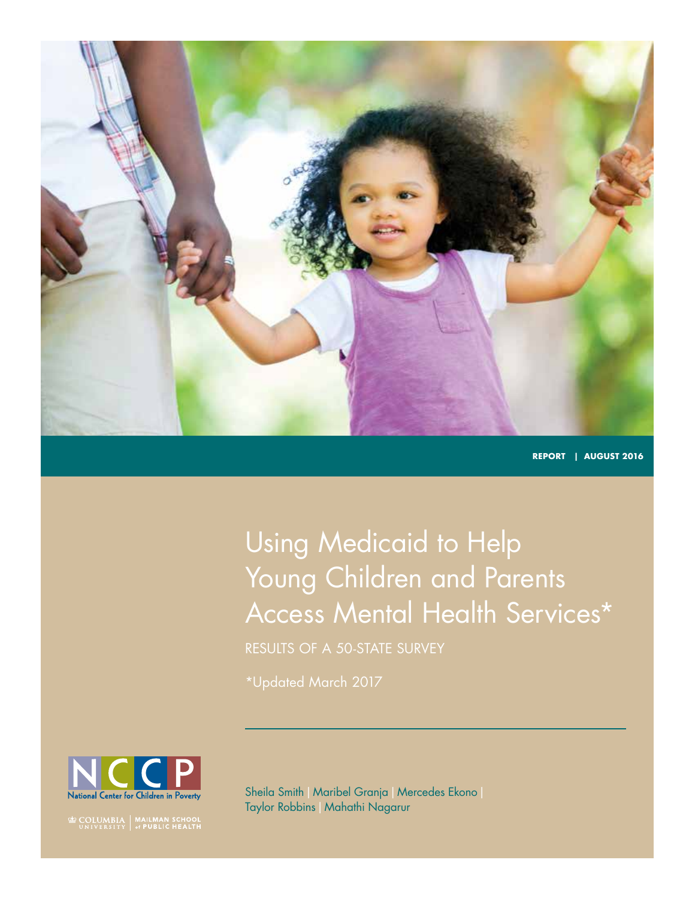

**REPORT | August 2016**

# Using Medicaid to Help Young Children and Parents Access Mental Health Services\*

Results of a 50-State Survey

\*Updated March 2017



**EXECUTE OF STATE OF STATE OF STATE OF STATE OF STATE OF STATE SETTLES** 

Sheila Smith | Maribel Granja | Mercedes Ekono | Taylor Robbins|Mahathi Nagarur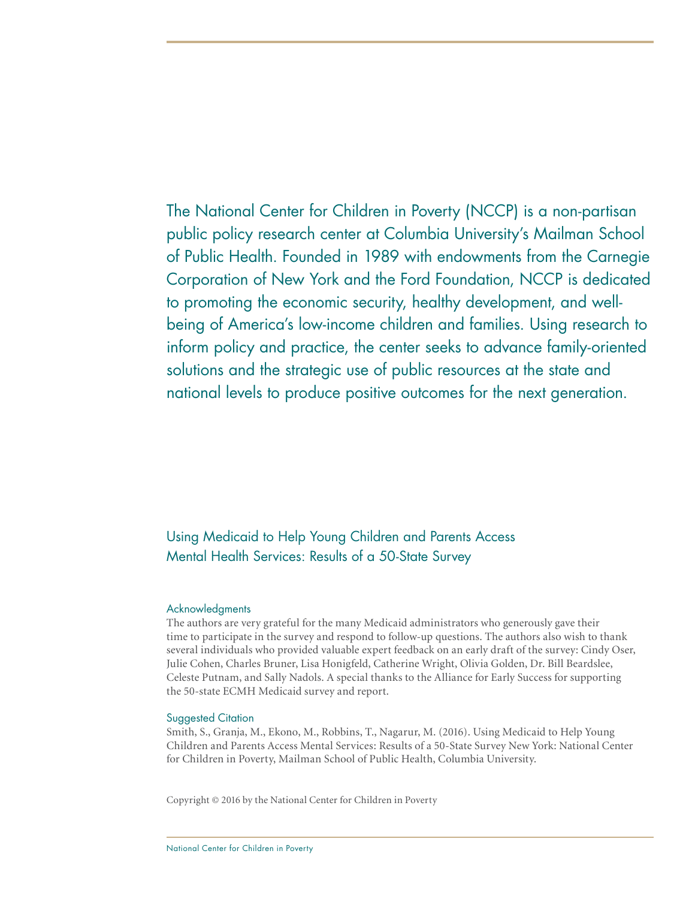The National Center for Children in Poverty (NCCP) is a non-partisan public policy research center at Columbia University's Mailman School of Public Health. Founded in 1989 with endowments from the Carnegie Corporation of New York and the Ford Foundation, NCCP is dedicated to promoting the economic security, healthy development, and wellbeing of America's low-income children and families. Using research to inform policy and practice, the center seeks to advance family-oriented solutions and the strategic use of public resources at the state and national levels to produce positive outcomes for the next generation.

Using Medicaid to Help Young Children and Parents Access Mental Health Services: Results of a 50-State Survey

### Acknowledgments

The authors are very grateful for the many Medicaid administrators who generously gave their time to participate in the survey and respond to follow-up questions. The authors also wish to thank several individuals who provided valuable expert feedback on an early draft of the survey: Cindy Oser, Julie Cohen, Charles Bruner, Lisa Honigfeld, Catherine Wright, Olivia Golden, Dr. Bill Beardslee, Celeste Putnam, and Sally Nadols. A special thanks to the Alliance for Early Success for supporting the 50-state ECMH Medicaid survey and report.

#### Suggested Citation

Smith, S., Granja, M., Ekono, M., Robbins, T., Nagarur, M. (2016). Using Medicaid to Help Young Children and Parents Access Mental Services: Results of a 50-State Survey New York: National Center for Children in Poverty, Mailman School of Public Health, Columbia University.

Copyright © 2016 by the National Center for Children in Poverty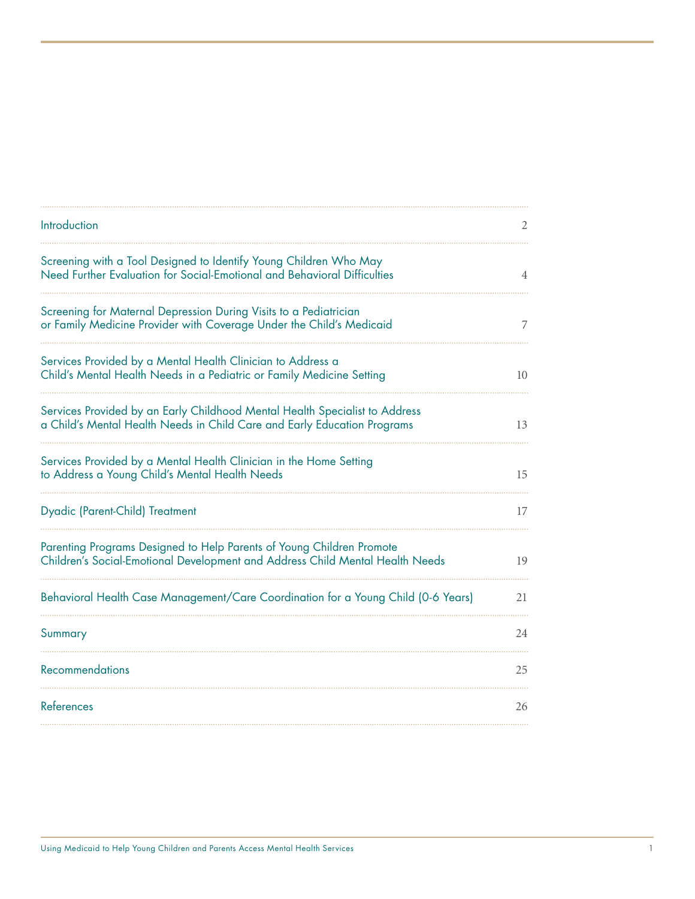| Introduction                                                                                                                                            | 2  |
|---------------------------------------------------------------------------------------------------------------------------------------------------------|----|
| Screening with a Tool Designed to Identify Young Children Who May<br>Need Further Evaluation for Social-Emotional and Behavioral Difficulties           | 4  |
| Screening for Maternal Depression During Visits to a Pediatrician<br>or Family Medicine Provider with Coverage Under the Child's Medicaid               | 7  |
| Services Provided by a Mental Health Clinician to Address a<br>Child's Mental Health Needs in a Pediatric or Family Medicine Setting                    | 10 |
| Services Provided by an Early Childhood Mental Health Specialist to Address<br>a Child's Mental Health Needs in Child Care and Early Education Programs | 13 |
| Services Provided by a Mental Health Clinician in the Home Setting<br>to Address a Young Child's Mental Health Needs                                    | 15 |
| Dyadic (Parent-Child) Treatment                                                                                                                         | 17 |
| Parenting Programs Designed to Help Parents of Young Children Promote<br>Children's Social-Emotional Development and Address Child Mental Health Needs  | 19 |
| Behavioral Health Case Management/Care Coordination for a Young Child (0-6 Years)                                                                       | 21 |
| Summary                                                                                                                                                 | 24 |
| <b>Recommendations</b>                                                                                                                                  | 25 |
| References                                                                                                                                              | 26 |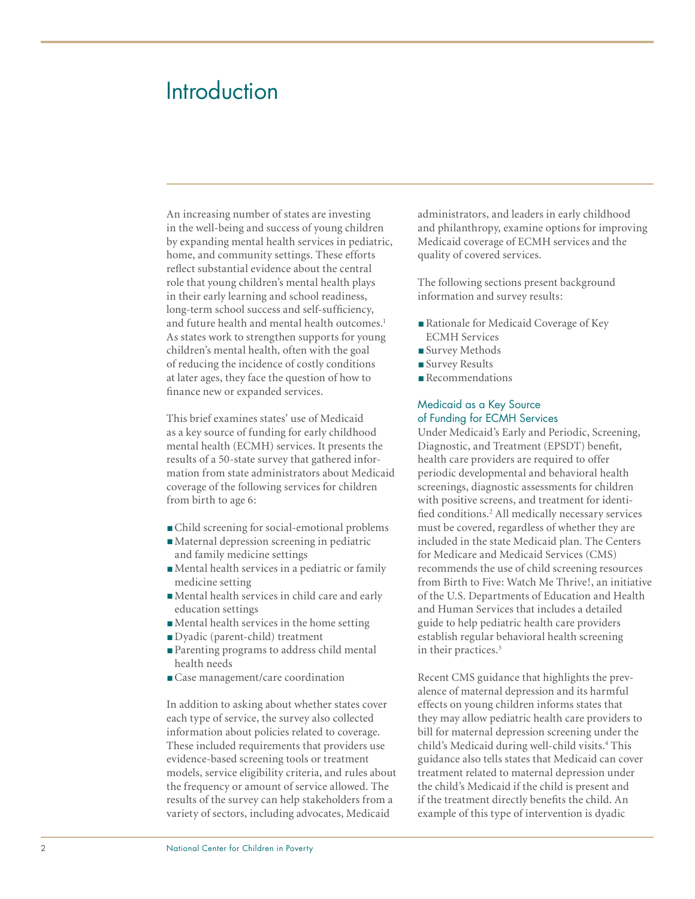# **Introduction**

An increasing number of states are investing in the well-being and success of young children by expanding mental health services in pediatric, home, and community settings. These efforts reflect substantial evidence about the central role that young children's mental health plays in their early learning and school readiness, long-term school success and self-sufficiency, and future health and mental health outcomes.<sup>1</sup> As states work to strengthen supports for young children's mental health, often with the goal of reducing the incidence of costly conditions at later ages, they face the question of how to finance new or expanded services.

This brief examines states' use of Medicaid as a key source of funding for early childhood mental health (ECMH) services. It presents the results of a 50-state survey that gathered information from state administrators about Medicaid coverage of the following services for children from birth to age 6:

- Child screening for social-emotional problems
- Maternal depression screening in pediatric and family medicine settings
- ■Mental health services in a pediatric or family medicine setting
- ■Mental health services in child care and early education settings
- ■Mental health services in the home setting
- ■Dyadic (parent-child) treatment
- Parenting programs to address child mental health needs
- Case management/care coordination

In addition to asking about whether states cover each type of service, the survey also collected information about policies related to coverage. These included requirements that providers use evidence-based screening tools or treatment models, service eligibility criteria, and rules about the frequency or amount of service allowed. The results of the survey can help stakeholders from a variety of sectors, including advocates, Medicaid

administrators, and leaders in early childhood and philanthropy, examine options for improving Medicaid coverage of ECMH services and the quality of covered services.

The following sections present background information and survey results:

- Rationale for Medicaid Coverage of Key ECMH Services
- Survey Methods
- Survey Results
- ■Recommendations

#### Medicaid as a Key Source of Funding for ECMH Services

Under Medicaid's Early and Periodic, Screening, Diagnostic, and Treatment (EPSDT) benefit, health care providers are required to offer periodic developmental and behavioral health screenings, diagnostic assessments for children with positive screens, and treatment for identified conditions.<sup>2</sup> All medically necessary services must be covered, regardless of whether they are included in the state Medicaid plan. The Centers for Medicare and Medicaid Services (CMS) recommends the use of child screening resources from Birth to Five: Watch Me Thrive!, an initiative of the U.S. Departments of Education and Health and Human Services that includes a detailed guide to help pediatric health care providers establish regular behavioral health screening in their practices.<sup>3</sup>

Recent CMS guidance that highlights the prevalence of maternal depression and its harmful effects on young children informs states that they may allow pediatric health care providers to bill for maternal depression screening under the child's Medicaid during well-child visits.<sup>4</sup> This guidance also tells states that Medicaid can cover treatment related to maternal depression under the child's Medicaid if the child is present and if the treatment directly benefits the child. An example of this type of intervention is dyadic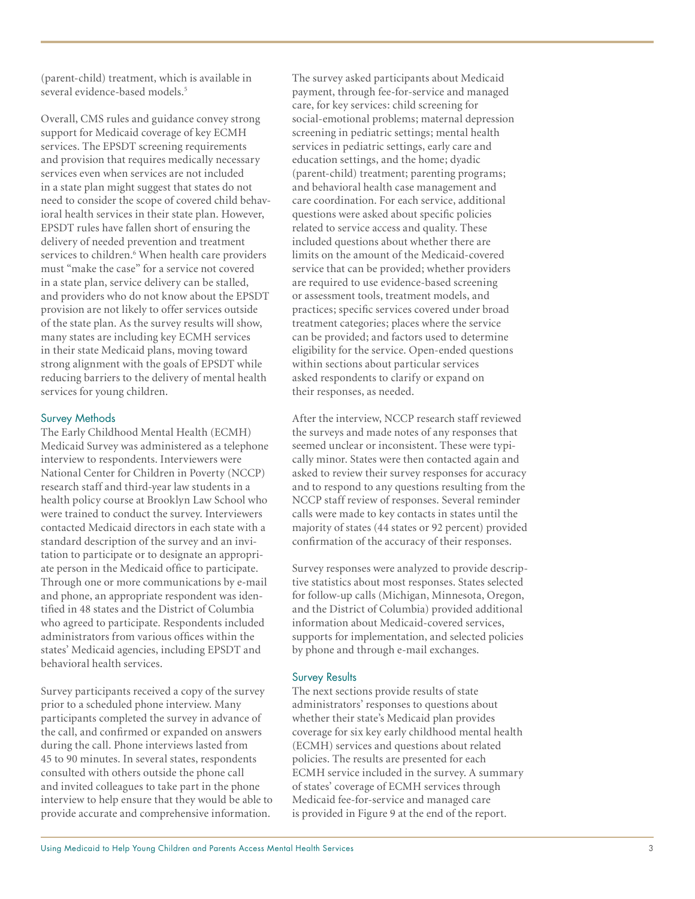(parent-child) treatment, which is available in several evidence-based models. 5

Overall, CMS rules and guidance convey strong support for Medicaid coverage of key ECMH services. The EPSDT screening requirements and provision that requires medically necessary services even when services are not included in a state plan might suggest that states do not need to consider the scope of covered child behav ioral health services in their state plan. However, EPSDT rules have fallen short of ensuring the delivery of needed prevention and treatment services to children. 6 When health care providers must "make the case" for a service not covered in a state plan, service delivery can be stalled, and providers who do not know about the EPSDT provision are not likely to offer services outside of the state plan. As the survey results will show, many states are including key ECMH services in their state Medicaid plans, moving toward strong alignment with the goals of EPSDT while reducing barriers to the delivery of mental health services for young children.

### Survey Methods

The Early Childhood Mental Health (ECMH) Medicaid Survey was administered as a telephone interview to respondents. Interviewers were National Center for Children in Poverty (NCCP) research staff and third-year law students in a health policy course at Brooklyn Law School who were trained to conduct the survey. Interviewers contacted Medicaid directors in each state with a standard description of the survey and an invi tation to participate or to designate an appropri ate person in the Medicaid office to participate. Through one or more communications by e-mail and phone, an appropriate respondent was iden tified in 48 states and the District of Columbia who agreed to participate. Respondents included administrators from various offices within the states' Medicaid agencies, including EPSDT and behavioral health services.

Survey participants received a copy of the survey prior to a scheduled phone interview. Many participants completed the survey in advance of the call, and confirmed or expanded on answers during the call. Phone interviews lasted from 45 to 90 minutes. In several states, respondents consulted with others outside the phone call and invited colleagues to take part in the phone interview to help ensure that they would be able to provide accurate and comprehensive information.

The survey asked participants about Medicaid payment, through fee-for-service and managed care, for key services: child screening for social-emotional problems; maternal depression screening in pediatric settings; mental health services in pediatric settings, early care and education settings, and the home; dyadic (parent-child) treatment; parenting programs; and behavioral health case management and care coordination. For each service, additional questions were asked about specific policies related to service access and quality. These included questions about whether there are limits on the amount of the Medicaid-covered service that can be provided; whether providers are required to use evidence-based screening or assessment tools, treatment models, and practices; specific services covered under broad treatment categories; places where the service can be provided; and factors used to determine eligibility for the service. Open-ended questions within sections about particular services asked respondents to clarify or expand on their responses, as needed.

After the interview, NCCP research staff reviewed the surveys and made notes of any responses that seemed unclear or inconsistent. These were typi cally minor. States were then contacted again and asked to review their survey responses for accuracy and to respond to any questions resulting from the NCCP staff review of responses. Several reminder calls were made to key contacts in states until the majority of states (44 states or 92 percent) provided confirmation of the accuracy of their responses.

Survey responses were analyzed to provide descrip tive statistics about most responses. States selected for follow-up calls (Michigan, Minnesota, Oregon, and the District of Columbia) provided additional information about Medicaid-covered services, supports for implementation, and selected policies by phone and through e-mail exchanges.

#### Survey Results

The next sections provide results of state administrators' responses to questions about whether their state's Medicaid plan provides coverage for six key early childhood mental health (ECMH) services and questions about related policies. The results are presented for each ECMH service included in the survey. A summary of states' coverage of ECMH services through Medicaid fee-for-service and managed care is provided in Figure 9 at the end of the report.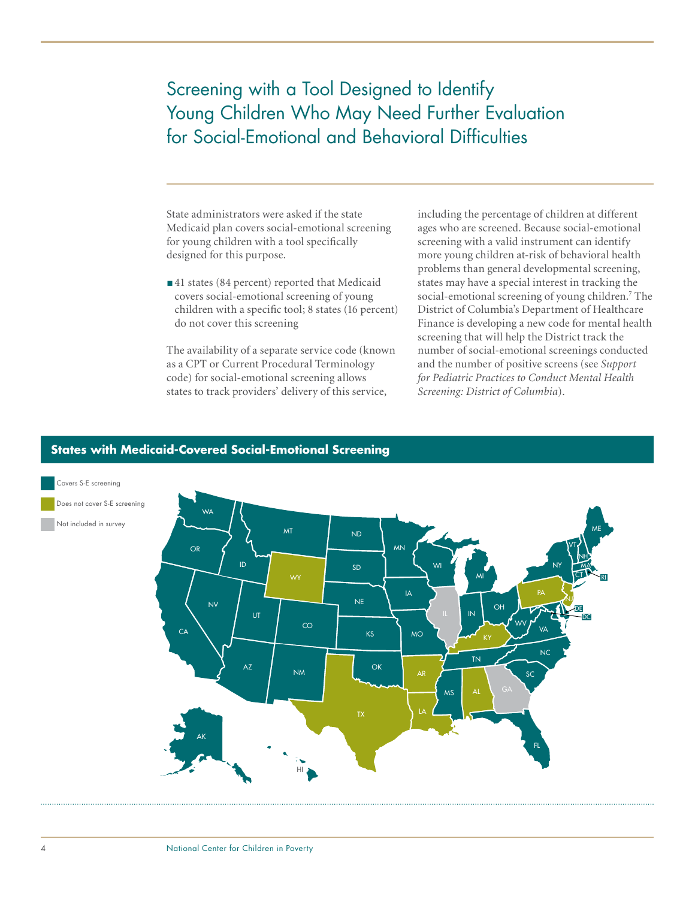# Screening with a Tool Designed to Identify Young Children Who May Need Further Evaluation for Social-Emotional and Behavioral Difficulties

State administrators were asked if the state Medicaid plan covers social-emotional screening for young children with a tool specifically designed for this purpose.

■41 states (84 percent) reported that Medicaid covers social-emotional screening of young children with a specific tool; 8 states (16 percent) do not cover this screening

The availability of a separate service code (known as a CPT or Current Procedural Terminology code) for social-emotional screening allows states to track providers' delivery of this service,

including the percentage of children at different ages who are screened. Because social-emotional screening with a valid instrument can identify more young children at-risk of behavioral health problems than general developmental screening, states may have a special interest in tracking the social-emotional screening of young children.<sup>7</sup> The District of Columbia's Department of Healthcare Finance is developing a new code for mental health screening that will help the District track the number of social-emotional screenings conducted and the number of positive screens (see *Support for Pediatric Practices to Conduct Mental Health Screening: District of Columbia*).



### **States with Medicaid-Covered Social-Emotional Screening**

#### 4 National Center for Children in Poverty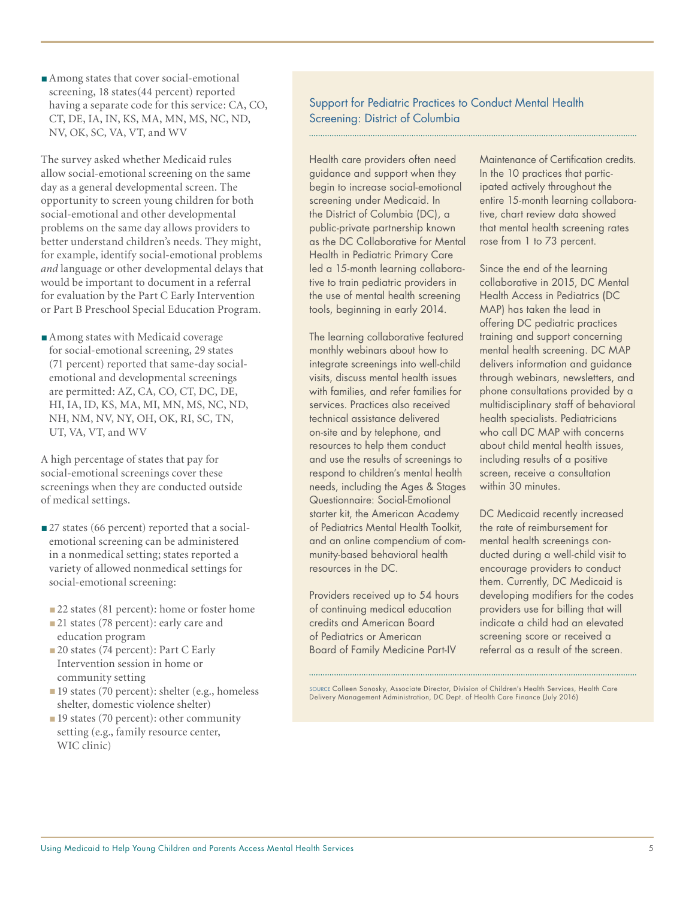The survey asked whether Medicaid rules allow social-emotional screening on the same day as a general developmental screen. The opportunity to screen young children for both social-emotional and other developmental problems on the same day allows providers to better understand children's needs. They might, for example, identify social-emotional problems *and* language or other developmental delays that would be important to document in a referral for evaluation by the Part C Early Intervention or Part B Preschool Special Education Program.

■ Among states with Medicaid coverage for social-emotional screening, 29 states (71 percent) reported that same-day socialemotional and developmental screenings are permitted: AZ, CA, CO, CT, DC, DE, HI, IA, ID, KS, MA, MI, MN, MS, NC, ND, NH, NM, NV, NY, OH, OK, RI, SC, TN, UT, VA, VT, and WV

A high percentage of states that pay for social-emotional screenings cover these screenings when they are conducted outside of medical settings.

- 27 states (66 percent) reported that a socialemotional screening can be administered in a nonmedical setting; states reported a variety of allowed nonmedical settings for social-emotional screening:
- 22 states (81 percent): home or foster home
- 21 states (78 percent): early care and education program
- 20 states (74 percent): Part C Early Intervention session in home or community setting
- 19 states (70 percent): shelter (e.g., homeless shelter, domestic violence shelter)
- 19 states (70 percent): other community setting (e.g., family resource center, WIC clinic)

### Support for Pediatric Practices to Conduct Mental Health Screening: District of Columbia

Health care providers often need guidance and support when they begin to increase social-emotional screening under Medicaid. In the District of Columbia (DC), a public-private partnership known as the DC Collaborative for Mental Health in Pediatric Primary Care led a 15-month learning collaborative to train pediatric providers in the use of mental health screening tools, beginning in early 2014.

The learning collaborative featured monthly webinars about how to integrate screenings into well-child visits, discuss mental health issues with families, and refer families for services. Practices also received technical assistance delivered on-site and by telephone, and resources to help them conduct and use the results of screenings to respond to children's mental health needs, including the Ages & Stages Questionnaire: Social-Emotional starter kit, the American Academy of Pediatrics Mental Health Toolkit, and an online compendium of community-based behavioral health resources in the DC.

Providers received up to 54 hours of continuing medical education credits and American Board of Pediatrics or American Board of Family Medicine Part-IV

Maintenance of Certification credits. In the 10 practices that participated actively throughout the entire 15-month learning collaborative, chart review data showed that mental health screening rates rose from 1 to 73 percent.

Since the end of the learning collaborative in 2015, DC Mental Health Access in Pediatrics (DC MAP) has taken the lead in offering DC pediatric practices training and support concerning mental health screening. DC MAP delivers information and guidance through webinars, newsletters, and phone consultations provided by a multidisciplinary staff of behavioral health specialists. Pediatricians who call DC MAP with concerns about child mental health issues, including results of a positive screen, receive a consultation within 30 minutes.

DC Medicaid recently increased the rate of reimbursement for mental health screenings conducted during a well-child visit to encourage providers to conduct them. Currently, DC Medicaid is developing modifiers for the codes providers use for billing that will indicate a child had an elevated screening score or received a referral as a result of the screen.

Source Colleen Sonosky, Associate Director, Division of Children's Health Services, Health Care Delivery Management Administration, DC Dept. of Health Care Finance (July 2016)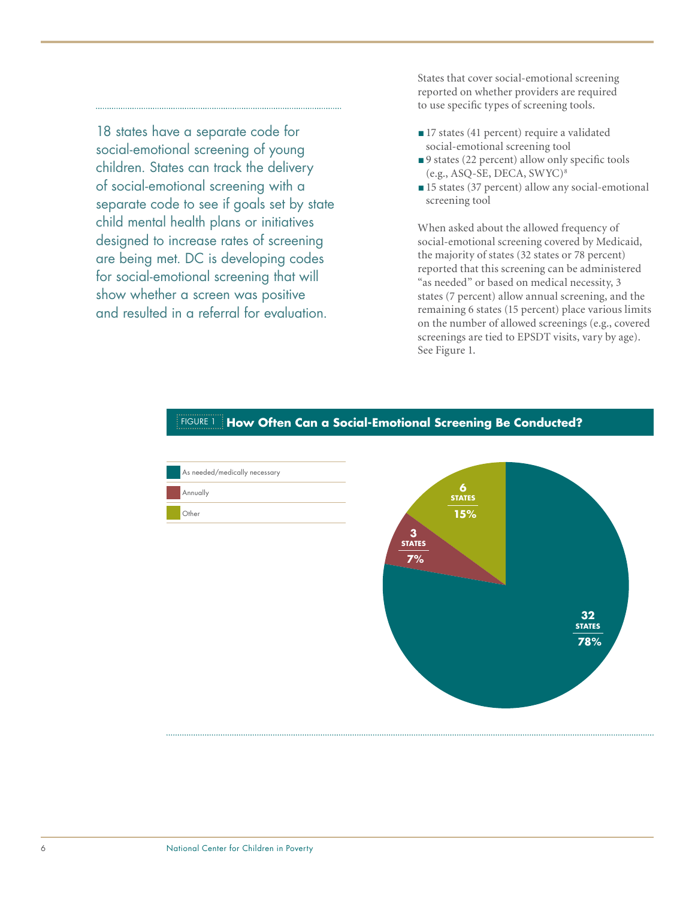18 states have a separate code for social-emotional screening of young children. States can track the delivery of social-emotional screening with a separate code to see if goals set by state child mental health plans or initiatives designed to increase rates of screening are being met. DC is developing codes for social-emotional screening that will show whether a screen was positive and resulted in a referral for evaluation.

States that cover social-emotional screening reported on whether providers are required to use specific types of screening tools.

- 17 states (41 percent) require a validated social-emotional screening tool
- 9 states (22 percent) allow only specific tools (e.g., ASQ-SE, DECA, SWYC)8
- 15 states (37 percent) allow any social-emotional screening tool

When asked about the allowed frequency of social-emotional screening covered by Medicaid, the majority of states (32 states or 78 percent) reported that this screening can be administered "as needed" or based on medical necessity, 3 states (7 percent) allow annual screening, and the remaining 6 states (15 percent) place various limits on the number of allowed screenings (e.g., covered screenings are tied to EPSDT visits, vary by age). See Figure 1.



#### Figure 1 **How Often Can a Social-Emotional Screening Be Conducted?**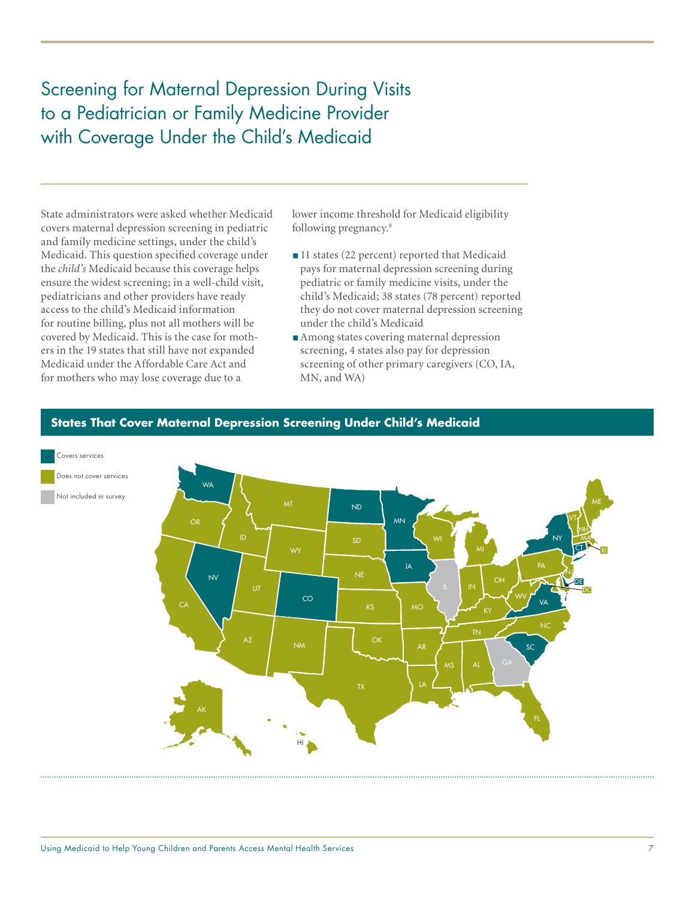Screening for Maternal Depression During Visits to a Pediatrician or Family Medicine Provider with Coverage Under the Child's Medicaid

State administrators were asked whether Medicaid covers maternal depression screening in pediatric and family medicine settings, under the child's Medicaid. This question specified coverage under the *child's* Medicaid because this coverage helps ensure the widest screening; in a well-child visit, pediatricians and other providers have ready access to the child's Medicaid information for routine billing, plus not all mothers will be covered by Medicaid. This is the case for mothers in the 19 states that still have not expanded Medicaid under the Affordable Care Act and for mothers who may lose coverage due to a

lower income threshold for Medicaid eligibility following pregnancy.9

- 11 states (22 percent) reported that Medicaid pays for maternal depression screening during pediatric or family medicine visits, under the child's Medicaid; 38 states (78 percent) reported they do not cover maternal depression screening under the child's Medicaid
- Among states covering maternal depression screening, 4 states also pay for depression screening of other primary caregivers (CO, IA, MN, and WA)



### **States That Cover Maternal Depression Screening Under Child's Medicaid**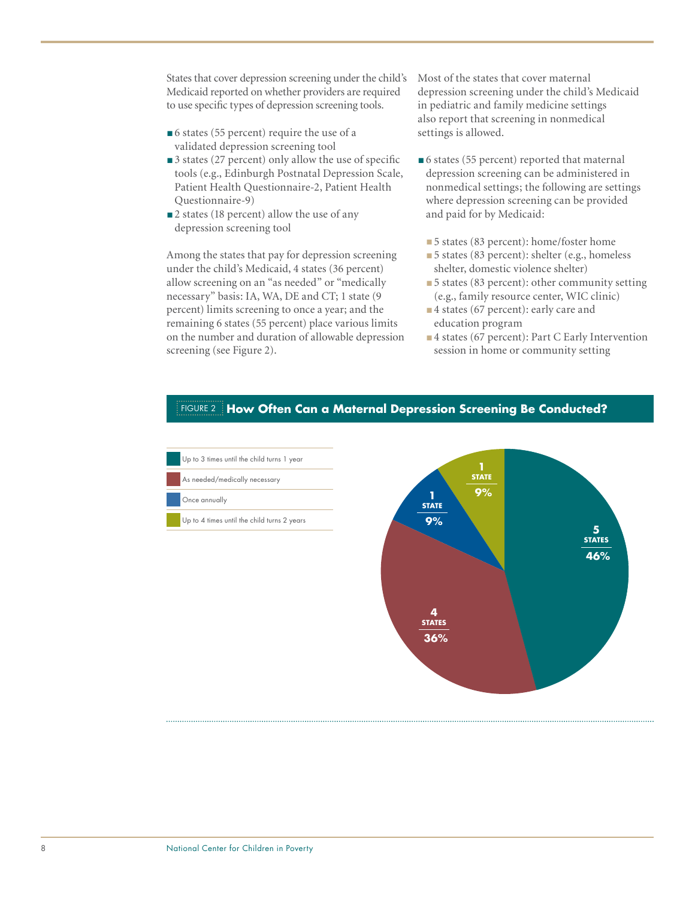States that cover depression screening under the child's Medicaid reported on whether providers are required to use specific types of depression screening tools.

- ■6 states (55 percent) require the use of a validated depression screening tool
- 3 states (27 percent) only allow the use of specific tools (e.g., Edinburgh Postnatal Depression Scale, Patient Health Questionnaire-2, Patient Health Questionnaire-9)
- 2 states (18 percent) allow the use of any depression screening tool

Among the states that pay for depression screening under the child's Medicaid, 4 states (36 percent) allow screening on an "as needed" or "medically necessary" basis: IA, WA, DE and CT; 1 state (9 percent) limits screening to once a year; and the remaining 6 states (55 percent) place various limits on the number and duration of allowable depression screening (see Figure 2).

Most of the states that cover maternal depression screening under the child's Medicaid in pediatric and family medicine settings also report that screening in nonmedical settings is allowed.

- 6 states (55 percent) reported that maternal depression screening can be administered in nonmedical settings; the following are settings where depression screening can be provided and paid for by Medicaid:
	- 5 states (83 percent): home/foster home
	- 5 states (83 percent): shelter (e.g., homeless shelter, domestic violence shelter)
	- 5 states (83 percent): other community setting (e.g., family resource center, WIC clinic)
	- ■4 states (67 percent): early care and education program
	- ■4 states (67 percent): Part C Early Intervention session in home or community setting



### Figure 2 **How Often Can a Maternal Depression Screening Be Conducted?**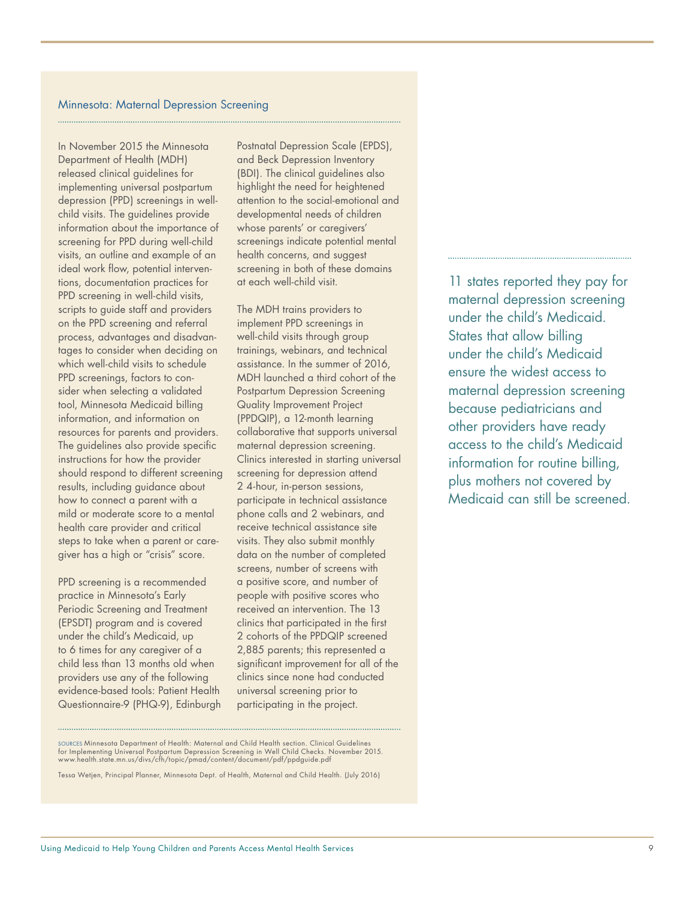#### Minnesota: Maternal Depression Screening

In November 2015 the Minnesota Department of Health (MDH) released clinical guidelines for implementing universal postpartum depression (PPD) screenings in wellchild visits. The guidelines provide information about the importance of screening for PPD during well-child visits, an outline and example of an ideal work flow, potential interventions, documentation practices for PPD screening in well-child visits, scripts to guide staff and providers on the PPD screening and referral process, advantages and disadvantages to consider when deciding on which well-child visits to schedule PPD screenings, factors to consider when selecting a validated tool, Minnesota Medicaid billing information, and information on resources for parents and providers. The guidelines also provide specific instructions for how the provider should respond to different screening results, including guidance about how to connect a parent with a mild or moderate score to a mental health care provider and critical steps to take when a parent or caregiver has a high or "crisis" score.

PPD screening is a recommended practice in Minnesota's Early Periodic Screening and Treatment (EPSDT) program and is covered under the child's Medicaid, up to 6 times for any caregiver of a child less than 13 months old when providers use any of the following evidence-based tools: Patient Health Questionnaire-9 (PHQ-9), Edinburgh Postnatal Depression Scale (EPDS), and Beck Depression Inventory (BDI). The clinical guidelines also highlight the need for heightened attention to the social-emotional and developmental needs of children whose parents' or caregivers' screenings indicate potential mental health concerns, and suggest screening in both of these domains at each well-child visit.

The MDH trains providers to implement PPD screenings in well-child visits through group trainings, webinars, and technical assistance. In the summer of 2016, MDH launched a third cohort of the Postpartum Depression Screening Quality Improvement Project (PPDQIP), a 12-month learning collaborative that supports universal maternal depression screening. Clinics interested in starting universal screening for depression attend 2 4-hour, in-person sessions, participate in technical assistance phone calls and 2 webinars, and receive technical assistance site visits. They also submit monthly data on the number of completed screens, number of screens with a positive score, and number of people with positive scores who received an intervention. The 13 clinics that participated in the first 2 cohorts of the PPDQIP screened 2,885 parents; this represented a significant improvement for all of the clinics since none had conducted universal screening prior to participating in the project.

11 states reported they pay for maternal depression screening under the child's Medicaid. States that allow billing under the child's Medicaid ensure the widest access to maternal depression screening because pediatricians and other providers have ready access to the child's Medicaid information for routine billing, plus mothers not covered by Medicaid can still be screened.

Tessa Wetjen, Principal Planner, Minnesota Dept. of Health, Maternal and Child Health. (July 2016)

Sources Minnesota Department of Health: Maternal and Child Health section. Clinical Guidelines for Implementing Universal Postpartum Depression Screening in Well Child Checks. November 2015. www.health.state.mn.us/divs/cfh/topic/pmad/content/document/pdf/ppdguide.pdf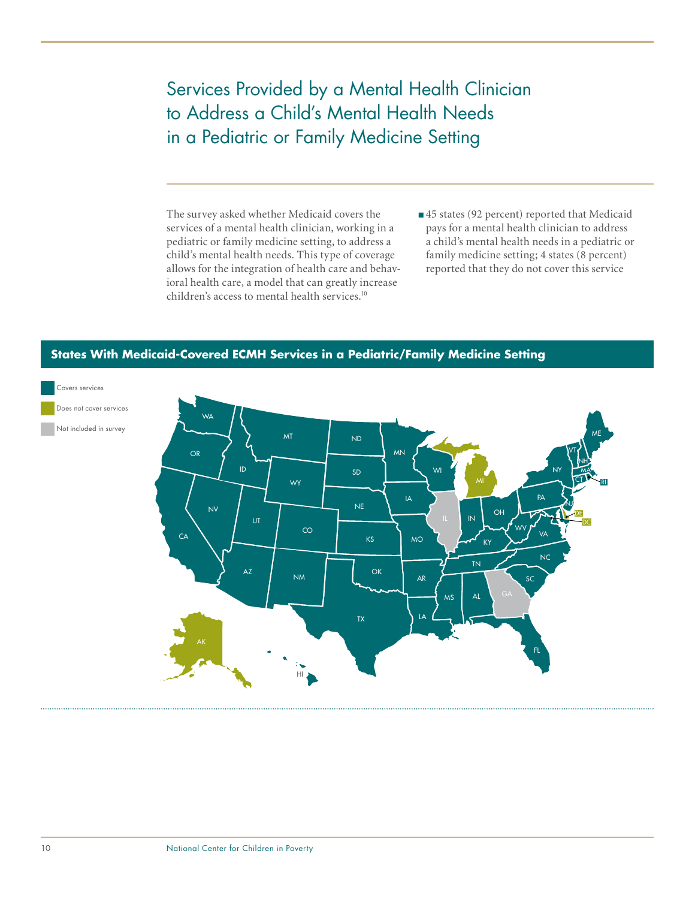# Services Provided by a Mental Health Clinician to Address a Child's Mental Health Needs in a Pediatric or Family Medicine Setting

The survey asked whether Medicaid covers the services of a mental health clinician, working in a pediatric or family medicine setting, to address a child's mental health needs. This type of coverage allows for the integration of health care and behavioral health care, a model that can greatly increase children's access to mental health services.<sup>10</sup>

■45 states (92 percent) reported that Medicaid pays for a mental health clinician to address a child's mental health needs in a pediatric or family medicine setting; 4 states (8 percent) reported that they do not cover this service



# **States With Medicaid-Covered ECMH Services in a Pediatric/Family Medicine Setting**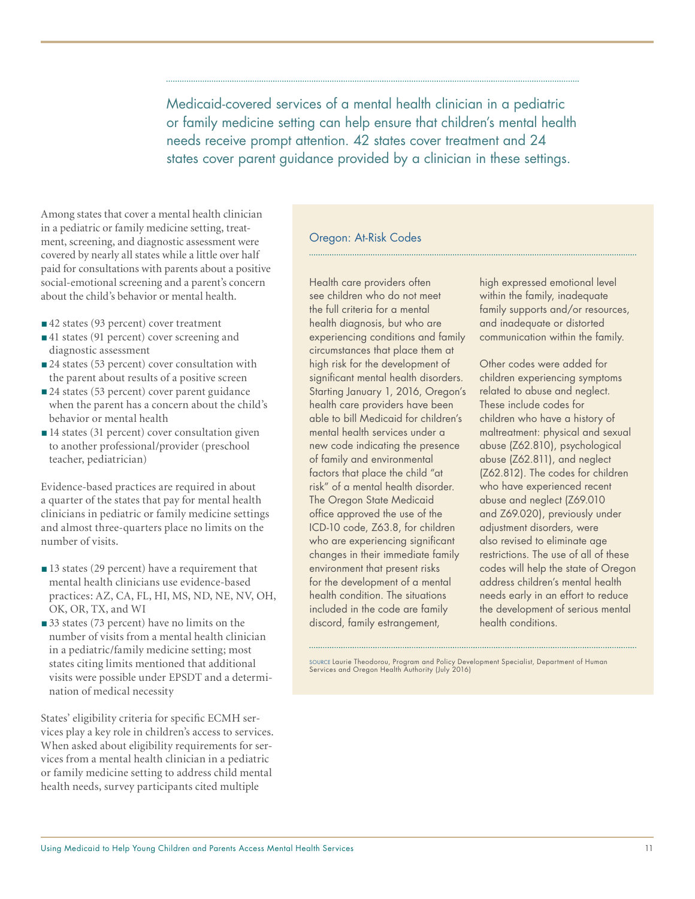Medicaid-covered services of a mental health clinician in a pediatric or family medicine setting can help ensure that children's mental health needs receive prompt attention. 42 states cover treatment and 24 states cover parent guidance provided by a clinician in these settings.

Among states that cover a mental health clinician in a pediatric or family medicine setting, treatment, screening, and diagnostic assessment were covered by nearly all states while a little over half paid for consultations with parents about a positive social-emotional screening and a parent's concern about the child's behavior or mental health.

- ■42 states (93 percent) cover treatment
- ■41 states (91 percent) cover screening and diagnostic assessment
- 24 states (53 percent) cover consultation with the parent about results of a positive screen
- 24 states (53 percent) cover parent guidance when the parent has a concern about the child's behavior or mental health
- 14 states (31 percent) cover consultation given to another professional/provider (preschool teacher, pediatrician)

Evidence-based practices are required in about a quarter of the states that pay for mental health clinicians in pediatric or family medicine settings and almost three-quarters place no limits on the number of visits.

- ■13 states (29 percent) have a requirement that mental health clinicians use evidence-based practices: AZ, CA, FL, HI, MS, ND, NE, NV, OH, OK, OR, TX, and WI
- 33 states (73 percent) have no limits on the number of visits from a mental health clinician in a pediatric/family medicine setting; most states citing limits mentioned that additional visits were possible under EPSDT and a determination of medical necessity

States' eligibility criteria for specific ECMH services play a key role in children's access to services. When asked about eligibility requirements for services from a mental health clinician in a pediatric or family medicine setting to address child mental health needs, survey participants cited multiple

#### Oregon: At-Risk Codes

Health care providers often see children who do not meet the full criteria for a mental health diagnosis, but who are experiencing conditions and family circumstances that place them at high risk for the development of significant mental health disorders. Starting January 1, 2016, Oregon's health care providers have been able to bill Medicaid for children's mental health services under a new code indicating the presence of family and environmental factors that place the child "at risk" of a mental health disorder. The Oregon State Medicaid office approved the use of the ICD-10 code, Z63.8, for children who are experiencing significant changes in their immediate family environment that present risks for the development of a mental health condition. The situations included in the code are family discord, family estrangement,

high expressed emotional level within the family, inadequate family supports and/or resources, and inadequate or distorted communication within the family.

Other codes were added for children experiencing symptoms related to abuse and neglect. These include codes for children who have a history of maltreatment: physical and sexual abuse (Z62.810), psychological abuse (Z62.811), and neglect (Z62.812). The codes for children who have experienced recent abuse and neglect (Z69.010 and Z69.020), previously under adjustment disorders, were also revised to eliminate age restrictions. The use of all of these codes will help the state of Oregon address children's mental health needs early in an effort to reduce the development of serious mental health conditions.

Source Laurie Theodorou, Program and Policy Development Specialist, Department of Human Services and Oregon Health Authority (July 2016)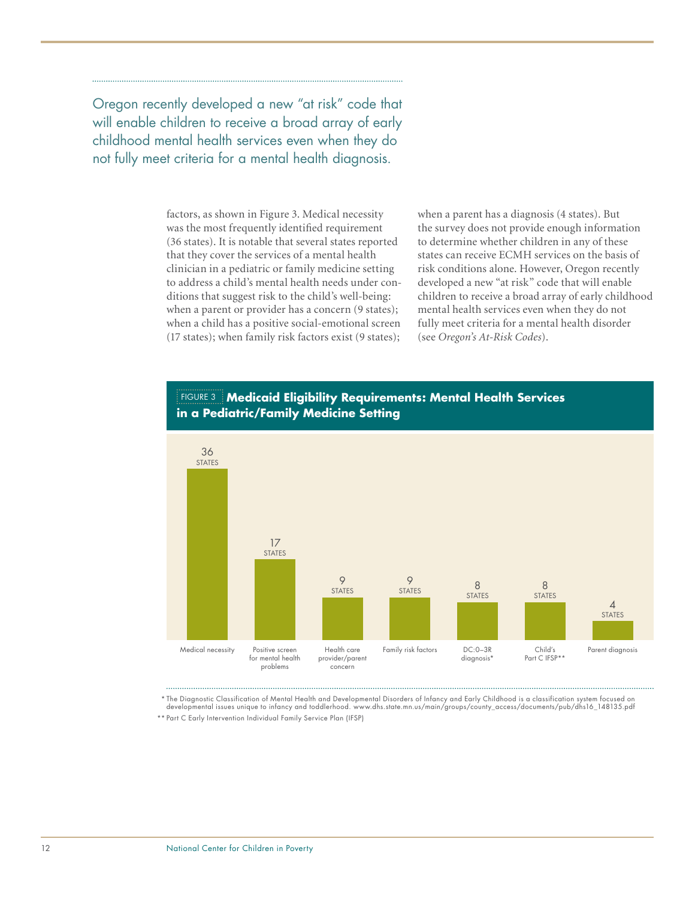Oregon recently developed a new "at risk" code that will enable children to receive a broad array of early childhood mental health services even when they do not fully meet criteria for a mental health diagnosis.

> factors, as shown in Figure 3. Medical necessity was the most frequently identified requirement (36 states). It is notable that several states reported that they cover the services of a mental health clinician in a pediatric or family medicine setting to address a child's mental health needs under conditions that suggest risk to the child's well-being: when a parent or provider has a concern (9 states); when a child has a positive social-emotional screen (17 states); when family risk factors exist (9 states);

when a parent has a diagnosis (4 states). But the survey does not provide enough information to determine whether children in any of these states can receive ECMH services on the basis of risk conditions alone. However, Oregon recently developed a new "at risk" code that will enable children to receive a broad array of early childhood mental health services even when they do not fully meet criteria for a mental health disorder (see *Oregon's At-Risk Codes*).





\* The Diagnostic Classification of Mental Health and Developmental Disorders of Infancy and Early Childhood is a classification system focused on developmental issues unique to infancy and toddlerhood. www.dhs.state.mn.us/main/groups/county\_access/documents/pub/dhs16\_148135.pdf \*\* Part C Early Intervention Individual Family Service Plan (IFSP)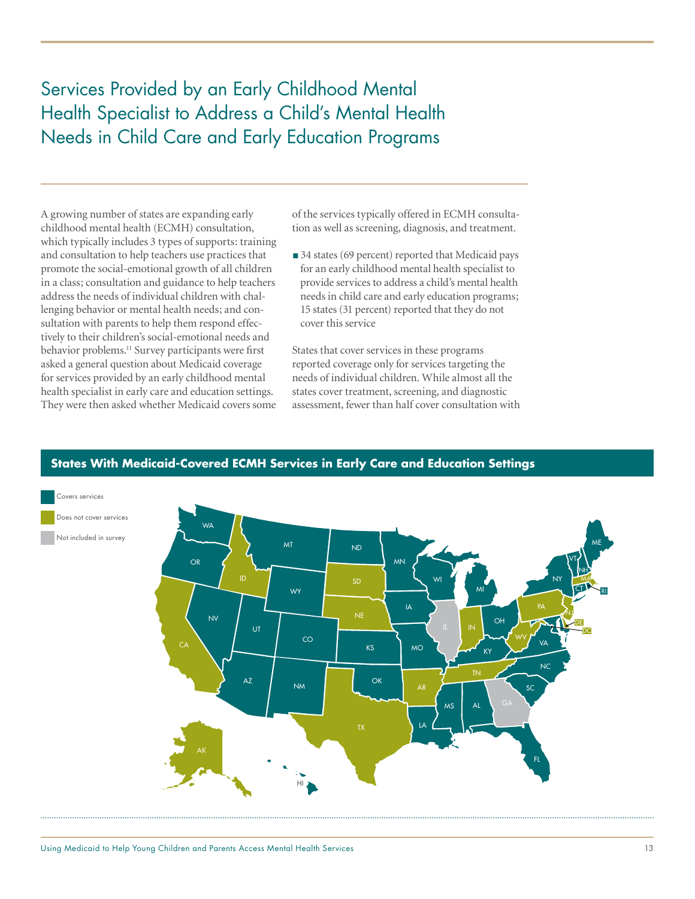Services Provided by an Early Childhood Mental Health Specialist to Address a Child's Mental Health Needs in Child Care and Early Education Programs

A growing number of states are expanding early childhood mental health (ECMH) consultation, which typically includes 3 types of supports: training and consultation to help teachers use practices that promote the social-emotional growth of all children in a class; consultation and guidance to help teachers address the needs of individual children with challenging behavior or mental health needs; and consultation with parents to help them respond effectively to their children's social-emotional needs and behavior problems.<sup>11</sup> Survey participants were first asked a general question about Medicaid coverage for services provided by an early childhood mental health specialist in early care and education settings. They were then asked whether Medicaid covers some

of the services typically offered in ECMH consultation as well as screening, diagnosis, and treatment.

■ 34 states (69 percent) reported that Medicaid pays for an early childhood mental health specialist to provide services to address a child's mental health needs in child care and early education programs; 15 states (31 percent) reported that they do not cover this service

States that cover services in these programs reported coverage only for services targeting the needs of individual children. While almost all the states cover treatment, screening, and diagnostic assessment, fewer than half cover consultation with



### **States With Medicaid-Covered ECMH Services in Early Care and Education Settings**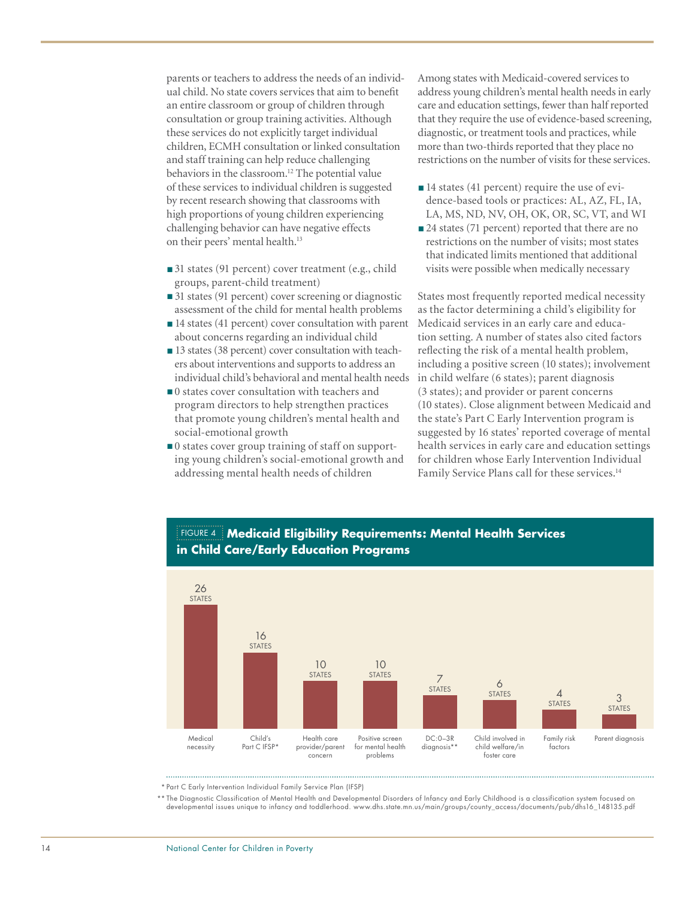parents or teachers to address the needs of an individual child. No state covers services that aim to benefit an entire classroom or group of children through consultation or group training activities. Although these services do not explicitly target individual children, ECMH consultation or linked consultation and staff training can help reduce challenging behaviors in the classroom.<sup>12</sup> The potential value of these services to individual children is suggested by recent research showing that classrooms with high proportions of young children experiencing challenging behavior can have negative effects on their peers' mental health.<sup>13</sup>

- 31 states (91 percent) cover treatment (e.g., child groups, parent-child treatment)
- 31 states (91 percent) cover screening or diagnostic assessment of the child for mental health problems
- 14 states (41 percent) cover consultation with parent about concerns regarding an individual child
- 13 states (38 percent) cover consultation with teachers about interventions and supports to address an individual child's behavioral and mental health needs
- 0 states cover consultation with teachers and program directors to help strengthen practices that promote young children's mental health and social-emotional growth
- ■0 states cover group training of staff on supporting young children's social-emotional growth and addressing mental health needs of children

Among states with Medicaid-covered services to address young children's mental health needs in early care and education settings, fewer than half reported that they require the use of evidence-based screening, diagnostic, or treatment tools and practices, while more than two-thirds reported that they place no restrictions on the number of visits for these services.

- 14 states (41 percent) require the use of evidence-based tools or practices: AL, AZ, FL, IA, LA, MS, ND, NV, OH, OK, OR, SC, VT, and WI
- 24 states (71 percent) reported that there are no restrictions on the number of visits; most states that indicated limits mentioned that additional visits were possible when medically necessary

States most frequently reported medical necessity as the factor determining a child's eligibility for Medicaid services in an early care and education setting. A number of states also cited factors reflecting the risk of a mental health problem, including a positive screen (10 states); involvement in child welfare (6 states); parent diagnosis (3 states); and provider or parent concerns (10 states). Close alignment between Medicaid and the state's Part C Early Intervention program is suggested by 16 states' reported coverage of mental health services in early care and education settings for children whose Early Intervention Individual Family Service Plans call for these services.<sup>14</sup>



# Figure 4 **Medicaid Eligibility Requirements: Mental Health Services in Child Care/Early Education Programs**

\* Part C Early Intervention Individual Family Service Plan (IFSP)

the Diagnostic Classification of Mental Health and Developmental Disorders of Infancy and Early Childhood is a classification system focused on \*\*<br>developmental issues unique to infancy and toddlerhood. www.dhs.state.mn.us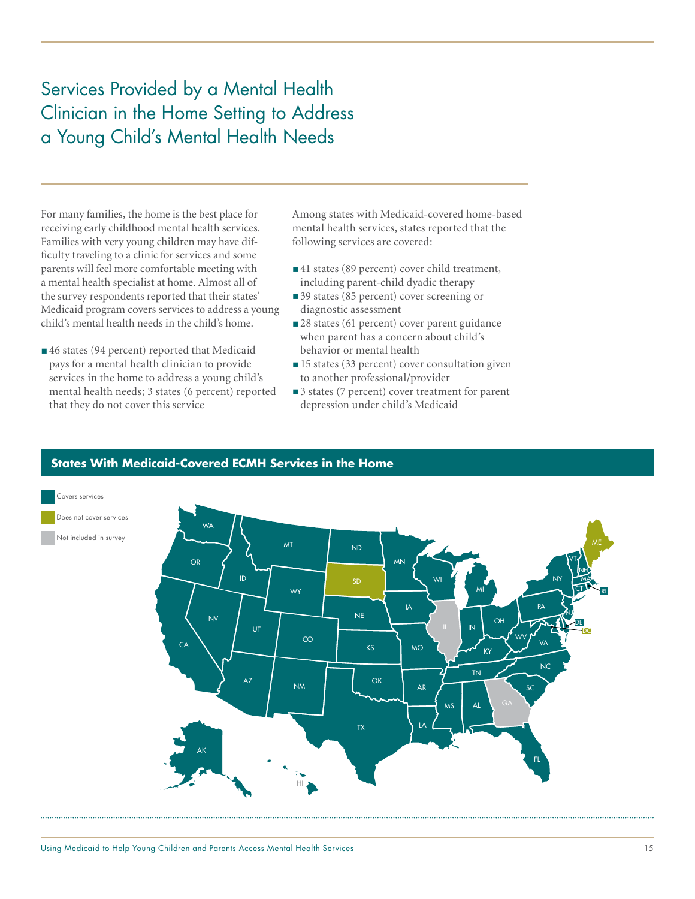# Services Provided by a Mental Health Clinician in the Home Setting to Address a Young Child's Mental Health Needs

For many families, the home is the best place for receiving early childhood mental health services. Families with very young children may have difficulty traveling to a clinic for services and some parents will feel more comfortable meeting with a mental health specialist at home. Almost all of the survey respondents reported that their states' Medicaid program covers services to address a young child's mental health needs in the child's home.

■46 states (94 percent) reported that Medicaid pays for a mental health clinician to provide services in the home to address a young child's mental health needs; 3 states (6 percent) reported that they do not cover this service

Among states with Medicaid-covered home-based mental health services, states reported that the following services are covered:

- ■41 states (89 percent) cover child treatment, including parent-child dyadic therapy
- 39 states (85 percent) cover screening or diagnostic assessment
- 28 states (61 percent) cover parent guidance when parent has a concern about child's behavior or mental health
- 15 states (33 percent) cover consultation given to another professional/provider
- 3 states (7 percent) cover treatment for parent depression under child's Medicaid



# **States With Medicaid-Covered ECMH Services in the Home**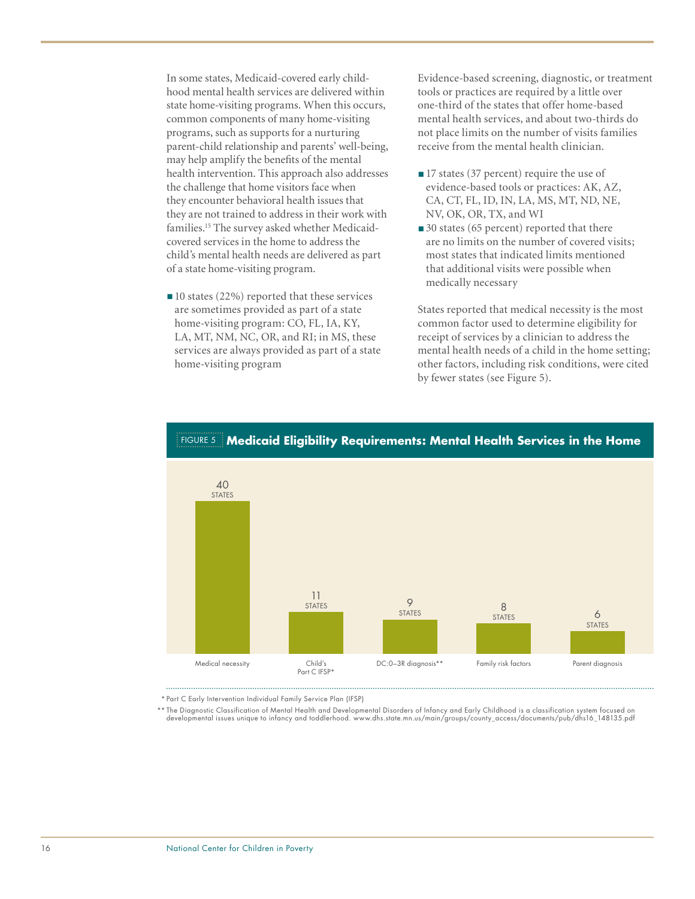In some states, Medicaid-covered early childhood mental health services are delivered within state home-visiting programs. When this occurs, common components of many home-visiting programs, such as supports for a nurturing parent-child relationship and parents' well-being, may help amplify the benefits of the mental health intervention. This approach also addresses the challenge that home visitors face when they encounter behavioral health issues that they are not trained to address in their work with families.15 The survey asked whether Medicaidcovered services in the home to address the child's mental health needs are delivered as part of a state home-visiting program.

■ 10 states (22%) reported that these services are sometimes provided as part of a state home-visiting program: CO, FL, IA, KY, LA, MT, NM, NC, OR, and RI; in MS, these services are always provided as part of a state home-visiting program

Evidence-based screening, diagnostic, or treatment tools or practices are required by a little over one-third of the states that offer home-based mental health services, and about two-thirds do not place limits on the number of visits families receive from the mental health clinician.

- 17 states (37 percent) require the use of evidence-based tools or practices: AK, AZ, CA, CT, FL, ID, IN, LA, MS, MT, ND, NE, NV, OK, OR, TX, and WI
- 30 states (65 percent) reported that there are no limits on the number of covered visits; most states that indicated limits mentioned that additional visits were possible when medically necessary

States reported that medical necessity is the most common factor used to determine eligibility for receipt of services by a clinician to address the mental health needs of a child in the home setting; other factors, including risk conditions, were cited by fewer states (see Figure 5).



# Figure 5 **Medicaid Eligibility Requirements: Mental Health Services in the Home**

\* Part C Early Intervention Individual Family Service Plan (IFSP)

\*\* The Diagnostic Classification of Mental Health and Developmental Disorders of Infancy and Early Childhood is a classification system focused on developmental issues unique to infancy and toddlerhood. www.dhs.state.mn.us/main/groups/county\_access/documents/pub/dhs16\_148135.pdf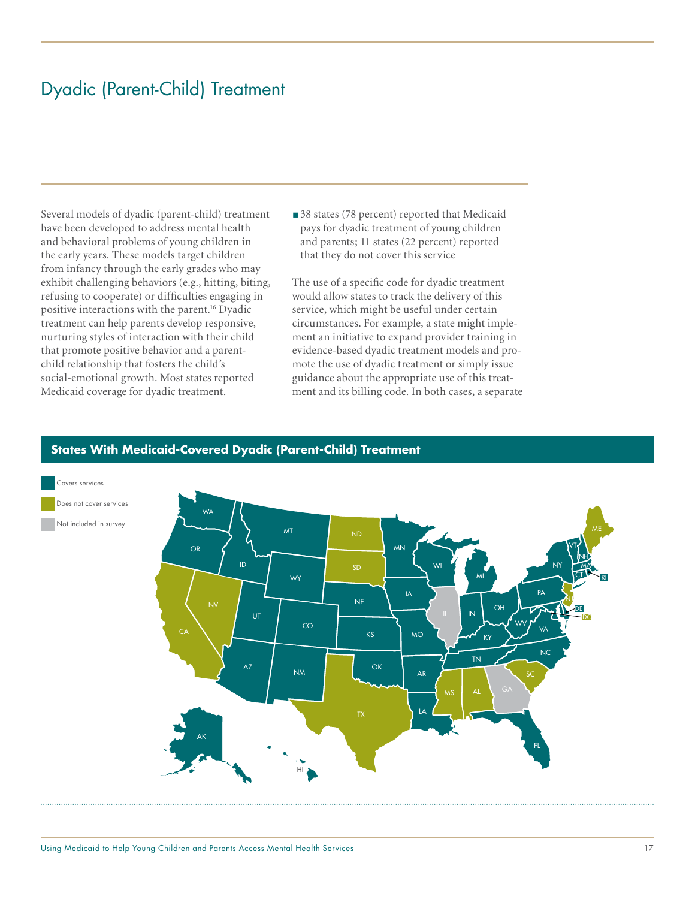# Dyadic (Parent-Child) Treatment

Several models of dyadic (parent-child) treatment have been developed to address mental health and behavioral problems of young children in the early years. These models target children from infancy through the early grades who may exhibit challenging behaviors (e.g., hitting, biting, refusing to cooperate) or difficulties engaging in positive interactions with the parent.<sup>16</sup> Dyadic treatment can help parents develop responsive, nurturing styles of interaction with their child that promote positive behavior and a parentchild relationship that fosters the child's social-emotional growth. Most states reported Medicaid coverage for dyadic treatment.

■ 38 states (78 percent) reported that Medicaid pays for dyadic treatment of young children and parents; 11 states (22 percent) reported that they do not cover this service

The use of a specific code for dyadic treatment would allow states to track the delivery of this service, which might be useful under certain circumstances. For example, a state might implement an initiative to expand provider training in evidence-based dyadic treatment models and promote the use of dyadic treatment or simply issue guidance about the appropriate use of this treatment and its billing code. In both cases, a separate



### **States With Medicaid-Covered Dyadic (Parent-Child) Treatment**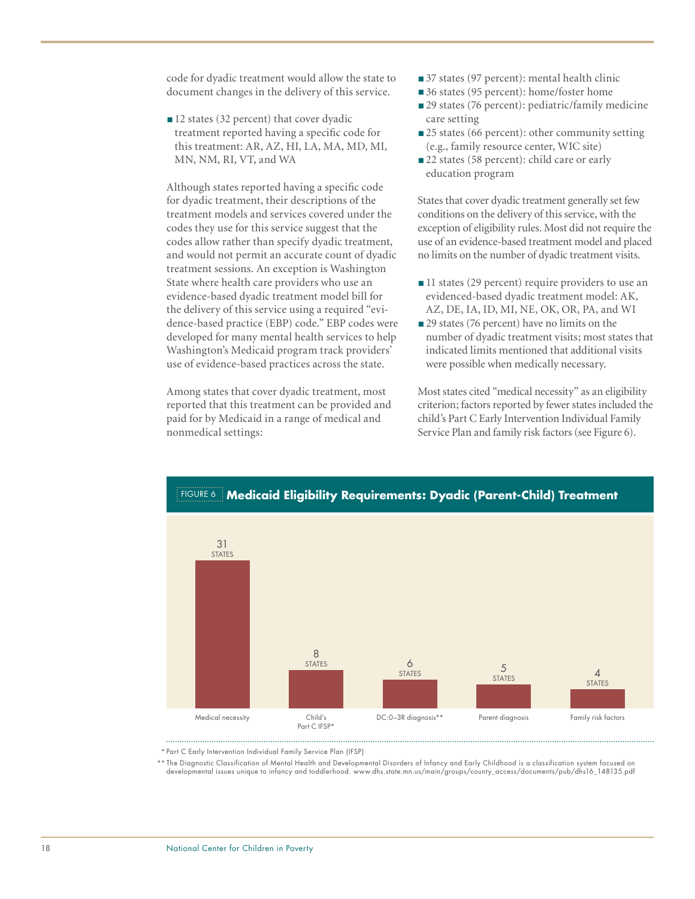code for dyadic treatment would allow the state to document changes in the delivery of this service.

■ 12 states (32 percent) that cover dyadic treatment reported having a specific code for this treatment: AR, AZ, HI, LA, MA, MD, MI, MN, NM, RI, VT, and WA

Although states reported having a specific code for dyadic treatment, their descriptions of the treatment models and services covered under the codes they use for this service suggest that the codes allow rather than specify dyadic treatment, and would not permit an accurate count of dyadic treatment sessions. An exception is Washington State where health care providers who use an evidence-based dyadic treatment model bill for the delivery of this service using a required "evidence-based practice (EBP) code." EBP codes were developed for many mental health services to help Washington's Medicaid program track providers' use of evidence-based practices across the state.

Among states that cover dyadic treatment, most reported that this treatment can be provided and paid for by Medicaid in a range of medical and nonmedical settings:

- 37 states (97 percent): mental health clinic
- 36 states (95 percent): home/foster home
- 29 states (76 percent): pediatric/family medicine care setting
- 25 states (66 percent): other community setting (e.g., family resource center, WIC site)
- 22 states (58 percent): child care or early education program

States that cover dyadic treatment generally set few conditions on the delivery of this service, with the exception of eligibility rules. Most did not require the use of an evidence-based treatment model and placed no limits on the number of dyadic treatment visits.

- 11 states (29 percent) require providers to use an evidenced-based dyadic treatment model: AK, AZ, DE, IA, ID, MI, NE, OK, OR, PA, and WI
- 29 states (76 percent) have no limits on the number of dyadic treatment visits; most states that indicated limits mentioned that additional visits were possible when medically necessary.

Most states cited "medical necessity" as an eligibility criterion; factors reported by fewer states included the child's Part C Early Intervention Individual Family Service Plan and family risk factors (see Figure 6).



\* Part C Early Intervention Individual Family Service Plan (IFSP)

\*\* The Diagnostic Classification of Mental Health and Developmental Disorders of Infancy and Early Childhood is a classification system focused on developmental issues unique to infancy and toddlerhood. www.dhs.state.mn.us/main/groups/county\_access/documents/pub/dhs16\_148135.pdf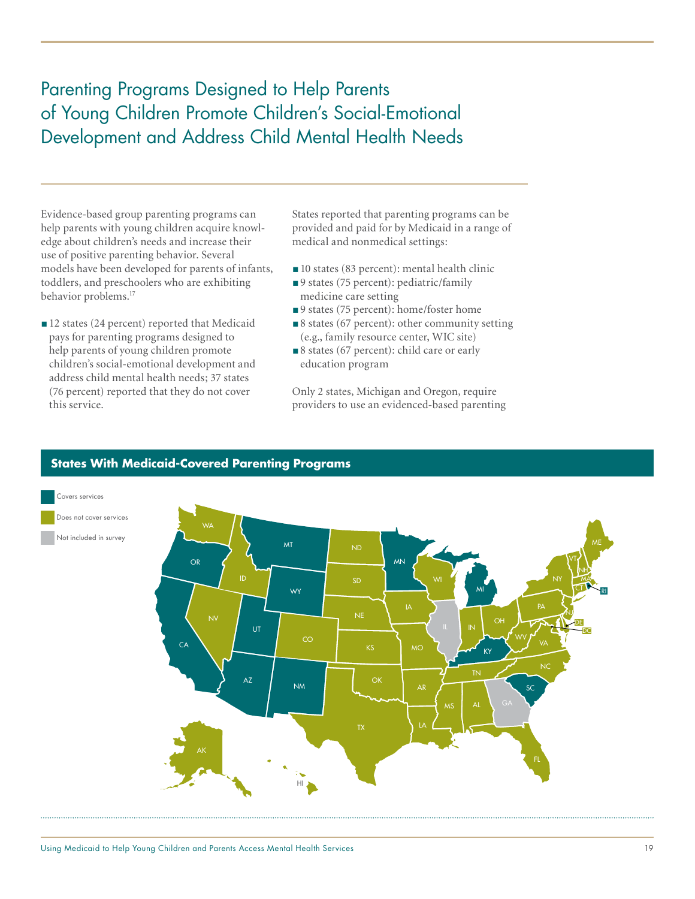# Parenting Programs Designed to Help Parents of Young Children Promote Children's Social-Emotional Development and Address Child Mental Health Needs

Evidence-based group parenting programs can help parents with young children acquire knowledge about children's needs and increase their use of positive parenting behavior. Several models have been developed for parents of infants, toddlers, and preschoolers who are exhibiting behavior problems.<sup>17</sup>

■ 12 states (24 percent) reported that Medicaid pays for parenting programs designed to help parents of young children promote children's social-emotional development and address child mental health needs; 37 states (76 percent) reported that they do not cover this service.

States reported that parenting programs can be provided and paid for by Medicaid in a range of medical and nonmedical settings:

- 10 states (83 percent): mental health clinic
- ■9 states (75 percent): pediatric/family medicine care setting
- ■9 states (75 percent): home/foster home
- 8 states (67 percent): other community setting (e.g., family resource center, WIC site)
- 8 states (67 percent): child care or early education program

Only 2 states, Michigan and Oregon, require providers to use an evidenced-based parenting



# **States With Medicaid-Covered Parenting Programs**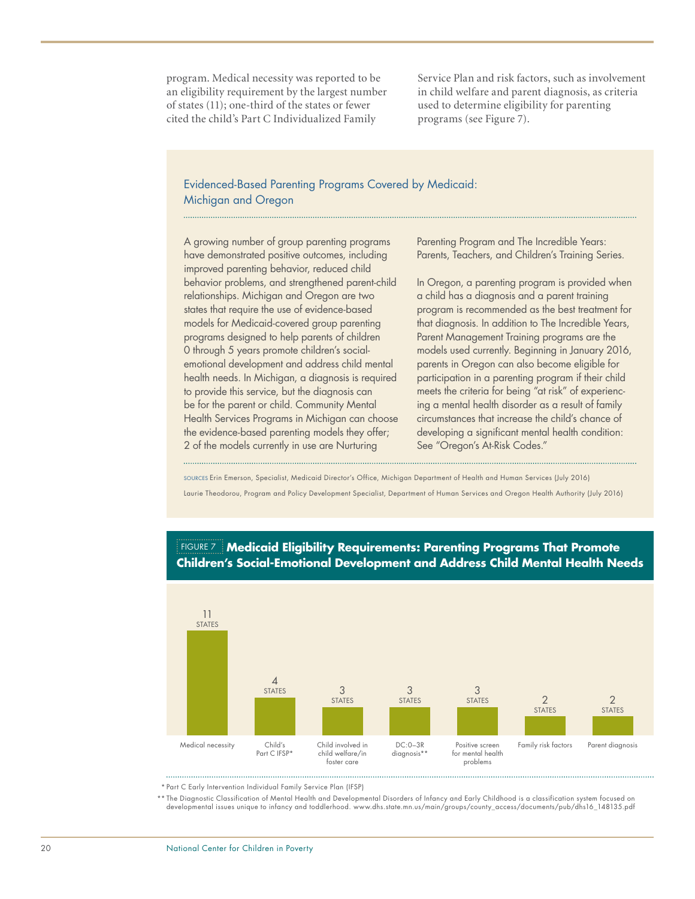program. Medical necessity was reported to be an eligibility requirement by the largest number of states (11); one-third of the states or fewer cited the child's Part C Individualized Family

Service Plan and risk factors, such as involvement in child welfare and parent diagnosis, as criteria used to determine eligibility for parenting programs (see Figure 7).

### Evidenced-Based Parenting Programs Covered by Medicaid: Michigan and Oregon

A growing number of group parenting programs have demonstrated positive outcomes, including improved parenting behavior, reduced child behavior problems, and strengthened parent-child relationships. Michigan and Oregon are two states that require the use of evidence-based models for Medicaid-covered group parenting programs designed to help parents of children 0 through 5 years promote children's socialemotional development and address child mental health needs. In Michigan, a diagnosis is required to provide this service, but the diagnosis can be for the parent or child. Community Mental Health Services Programs in Michigan can choose the evidence-based parenting models they offer; 2 of the models currently in use are Nurturing

Parenting Program and The Incredible Years: Parents, Teachers, and Children's Training Series.

In Oregon, a parenting program is provided when a child has a diagnosis and a parent training program is recommended as the best treatment for that diagnosis. In addition to The Incredible Years, Parent Management Training programs are the models used currently. Beginning in January 2016, parents in Oregon can also become eligible for participation in a parenting program if their child meets the criteria for being "at risk" of experiencing a mental health disorder as a result of family circumstances that increase the child's chance of developing a significant mental health condition: See "Oregon's At-Risk Codes."

Sources Erin Emerson, Specialist, Medicaid Director's Office, Michigan Department of Health and Human Services (July 2016)

Laurie Theodorou, Program and Policy Development Specialist, Department of Human Services and Oregon Health Authority (July 2016)



### Figure 7 **Medicaid Eligibility Requirements: Parenting Programs That Promote Children's Social-Emotional Development and Address Child Mental Health Needs**

\* Part C Early Intervention Individual Family Service Plan (IFSP)

the Diagnostic Classification of Mental Health and Developmental Disorders of Infancy and Early Childhood is a classification system focused on \*\*<br>developmental issues unique to infancy and toddlerhood. www.dhs.state.mn.us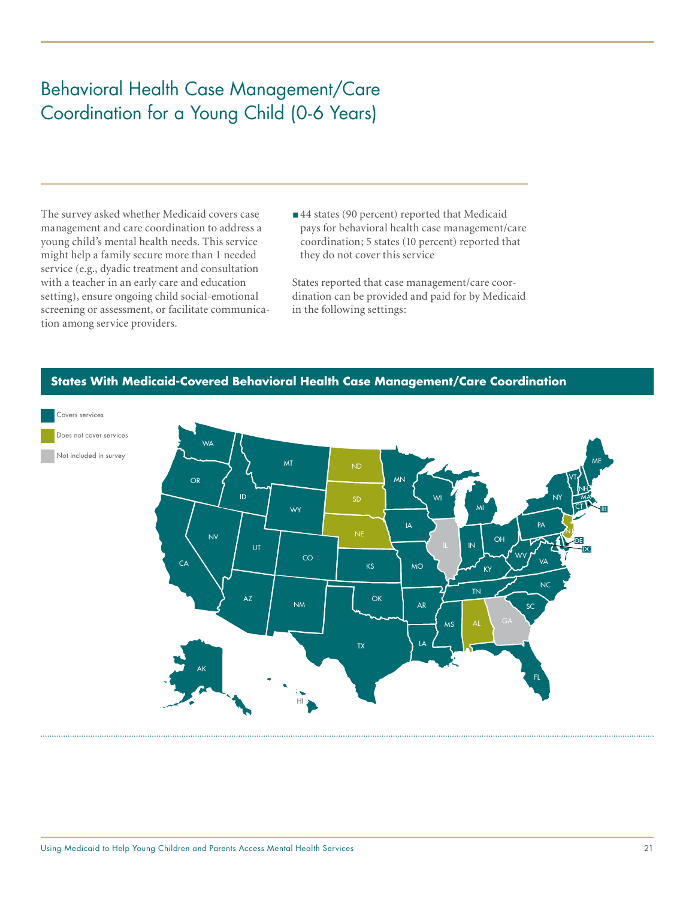# Behavioral Health Case Management/Care Coordination for a Young Child (0-6 Years)

The survey asked whether Medicaid covers case management and care coordination to address a young child's mental health needs. This service might help a family secure more than 1 needed service (e.g., dyadic treatment and consultation with a teacher in an early care and education setting), ensure ongoing child social-emotional screening or assessment, or facilitate communication among service providers.

■44 states (90 percent) reported that Medicaid pays for behavioral health case management/care coordination; 5 states (10 percent) reported that they do not cover this service

States reported that case management/care coordination can be provided and paid for by Medicaid in the following settings:



### **States With Medicaid-Covered Behavioral Health Case Management/Care Coordination**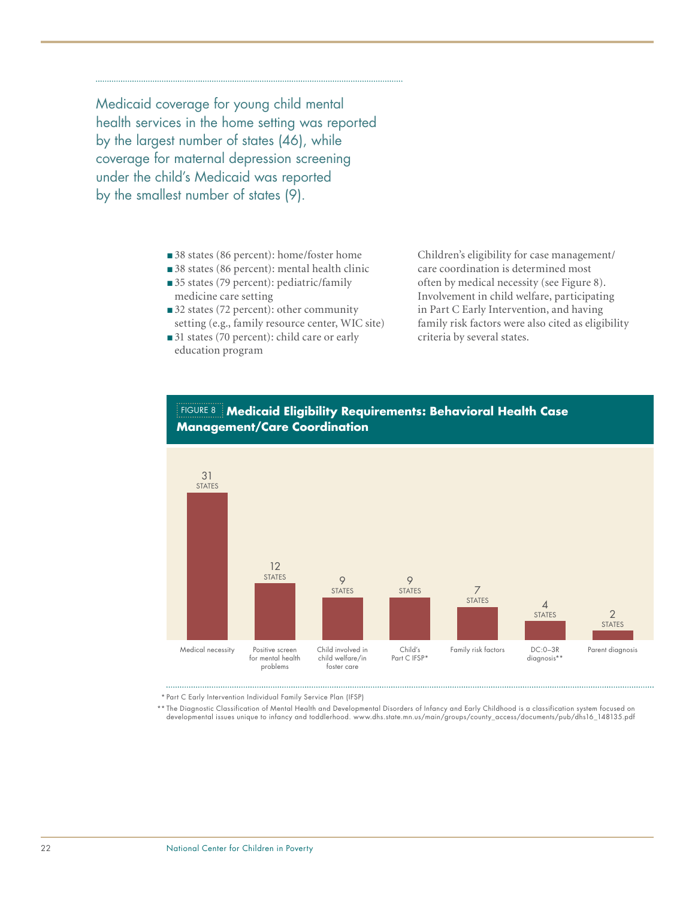Medicaid coverage for young child mental health services in the home setting was reported by the largest number of states (46), while coverage for maternal depression screening under the child's Medicaid was reported by the smallest number of states (9).

- 38 states (86 percent): home/foster home
- 38 states (86 percent): mental health clinic
- 35 states (79 percent): pediatric/family medicine care setting
- 32 states (72 percent): other community setting (e.g., family resource center, WIC site)
- 31 states (70 percent): child care or early education program

Children's eligibility for case management/ care coordination is determined most often by medical necessity (see Figure 8). Involvement in child welfare, participating in Part C Early Intervention, and having family risk factors were also cited as eligibility criteria by several states.



### Figure 8 **Medicaid Eligibility Requirements: Behavioral Health Case Management/Care Coordination**

\* Part C Early Intervention Individual Family Service Plan (IFSP)

the Diagnostic Classification of Mental Health and Developmental Disorders of Infancy and Early Childhood is a classification system focused on \*\*<br>developmental issues unique to infancy and toddlerhood. www.dhs.state.mn.us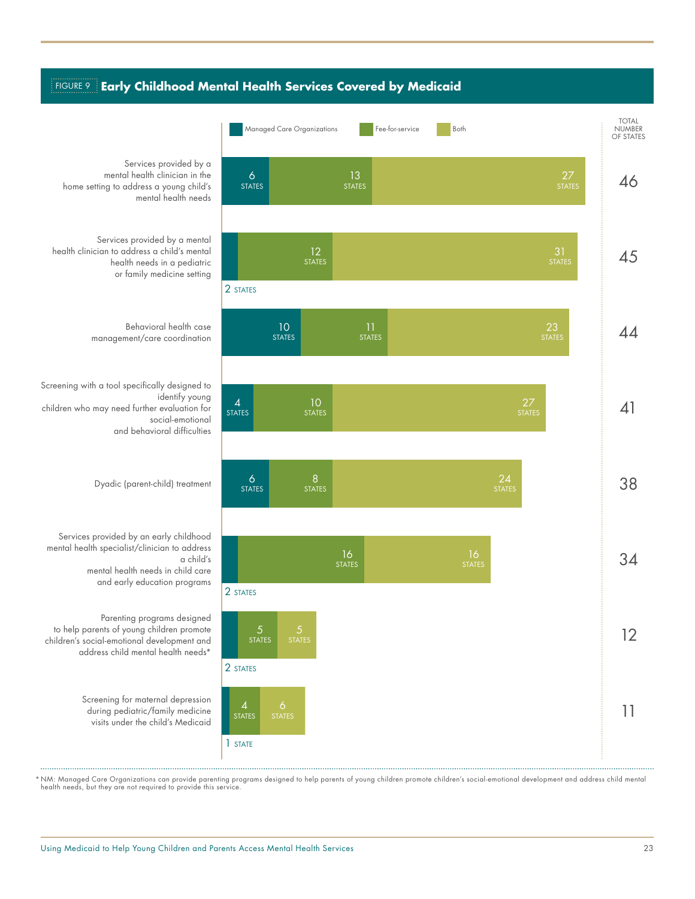### Figure 9 **Early Childhood Mental Health Services Covered by Medicaid**



Services provided by a mental health clinician in the home setting to address a young child's mental health needs

Services provided by a mental health clinician to address a child's mental health needs in a pediatric or family medicine setting

> Behavioral health case management/care coordination

Screening with a tool specifically designed to identify young children who may need further evaluation for social-emotional and behavioral difficulties

Dyadic (parent-child) treatment

Services provided by an early childhood mental health specialist/clinician to address a child's mental health needs in child care and early education programs

Parenting programs designed to help parents of young children promote children's social-emotional development and address child mental health needs\*

> Screening for maternal depression during pediatric/family medicine visits under the child's Medicaid

\* NM: Managed Care Organizations can provide parenting programs designed to help parents of young children promote children's social-emotional development and address child mental health needs, but they are not required to provide this service.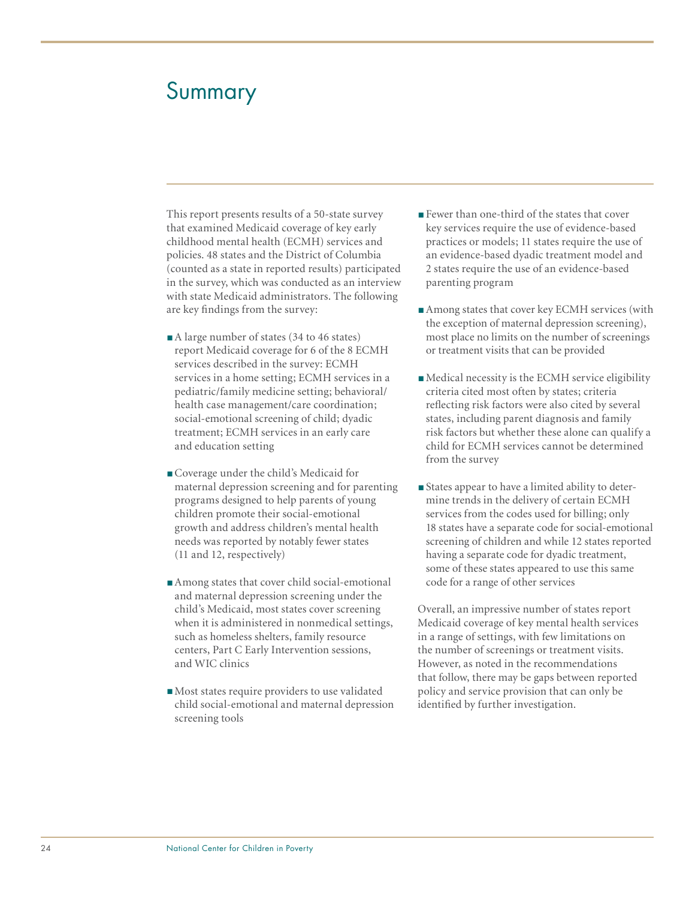# Summary

This report presents results of a 50-state survey that examined Medicaid coverage of key early childhood mental health (ECMH) services and policies. 48 states and the District of Columbia (counted as a state in reported results) participated in the survey, which was conducted as an interview with state Medicaid administrators. The following are key findings from the survey:

- A large number of states (34 to 46 states) report Medicaid coverage for 6 of the 8 ECMH services described in the survey: ECMH services in a home setting; ECMH services in a pediatric/family medicine setting; behavioral/ health case management/care coordination; social-emotional screening of child; dyadic treatment; ECMH services in an early care and education setting
- ■Coverage under the child's Medicaid for maternal depression screening and for parenting programs designed to help parents of young children promote their social-emotional growth and address children's mental health needs was reported by notably fewer states (11 and 12, respectively)
- Among states that cover child social-emotional and maternal depression screening under the child's Medicaid, most states cover screening when it is administered in nonmedical settings, such as homeless shelters, family resource centers, Part C Early Intervention sessions, and WIC clinics
- Most states require providers to use validated child social-emotional and maternal depression screening tools
- Fewer than one-third of the states that cover key services require the use of evidence-based practices or models; 11 states require the use of an evidence-based dyadic treatment model and 2 states require the use of an evidence-based parenting program
- Among states that cover key ECMH services (with the exception of maternal depression screening), most place no limits on the number of screenings or treatment visits that can be provided
- Medical necessity is the ECMH service eligibility criteria cited most often by states; criteria reflecting risk factors were also cited by several states, including parent diagnosis and family risk factors but whether these alone can qualify a child for ECMH services cannot be determined from the survey
- ■States appear to have a limited ability to determine trends in the delivery of certain ECMH services from the codes used for billing; only 18 states have a separate code for social-emotional screening of children and while 12 states reported having a separate code for dyadic treatment, some of these states appeared to use this same code for a range of other services

Overall, an impressive number of states report Medicaid coverage of key mental health services in a range of settings, with few limitations on the number of screenings or treatment visits. However, as noted in the recommendations that follow, there may be gaps between reported policy and service provision that can only be identified by further investigation.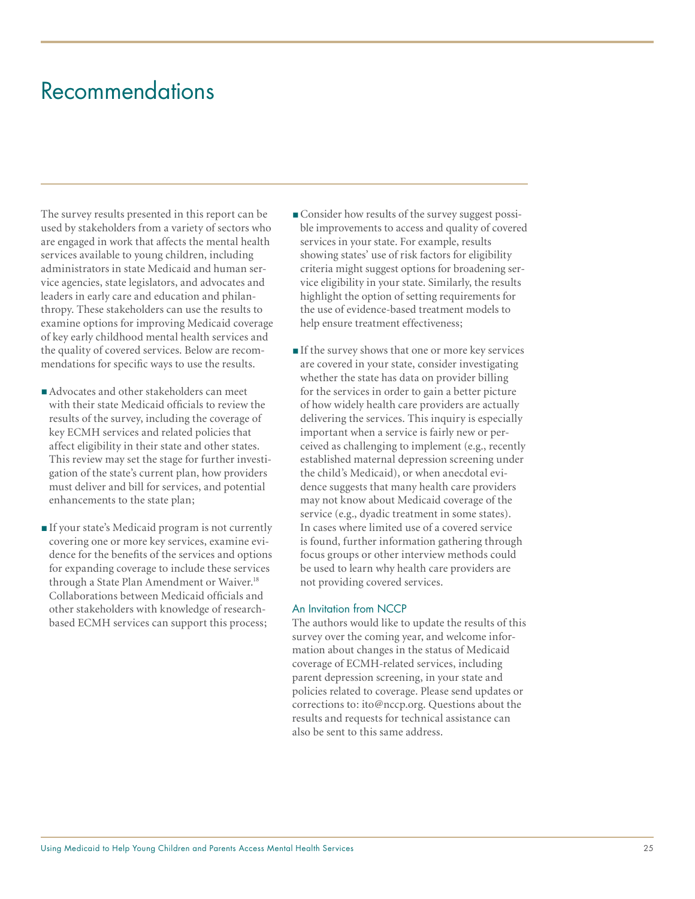# Recommendations

The survey results presented in this report can be used by stakeholders from a variety of sectors who are engaged in work that affects the mental health services available to young children, including administrators in state Medicaid and human service agencies, state legislators, and advocates and leaders in early care and education and philanthropy. These stakeholders can use the results to examine options for improving Medicaid coverage of key early childhood mental health services and the quality of covered services. Below are recommendations for specific ways to use the results.

- Advocates and other stakeholders can meet with their state Medicaid officials to review the results of the survey, including the coverage of key ECMH services and related policies that affect eligibility in their state and other states. This review may set the stage for further investigation of the state's current plan, how providers must deliver and bill for services, and potential enhancements to the state plan;
- ■If your state's Medicaid program is not currently covering one or more key services, examine evidence for the benefits of the services and options for expanding coverage to include these services through a State Plan Amendment or Waiver.<sup>18</sup> Collaborations between Medicaid officials and other stakeholders with knowledge of researchbased ECMH services can support this process;
- Consider how results of the survey suggest possible improvements to access and quality of covered services in your state. For example, results showing states' use of risk factors for eligibility criteria might suggest options for broadening service eligibility in your state. Similarly, the results highlight the option of setting requirements for the use of evidence-based treatment models to help ensure treatment effectiveness;
- ■If the survey shows that one or more key services are covered in your state, consider investigating whether the state has data on provider billing for the services in order to gain a better picture of how widely health care providers are actually delivering the services. This inquiry is especially important when a service is fairly new or perceived as challenging to implement (e.g., recently established maternal depression screening under the child's Medicaid), or when anecdotal evidence suggests that many health care providers may not know about Medicaid coverage of the service (e.g., dyadic treatment in some states). In cases where limited use of a covered service is found, further information gathering through focus groups or other interview methods could be used to learn why health care providers are not providing covered services.

#### An Invitation from NCCP

The authors would like to update the results of this survey over the coming year, and welcome information about changes in the status of Medicaid coverage of ECMH-related services, including parent depression screening, in your state and policies related to coverage. Please send updates or corrections to: ito@nccp.org. Questions about the results and requests for technical assistance can also be sent to this same address.